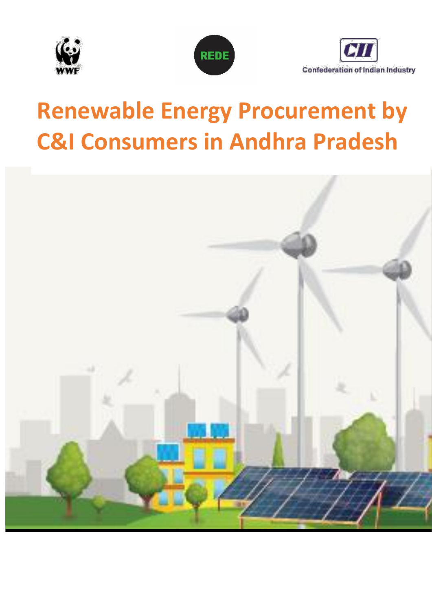





# **Renewable Energy Procurement by C&I Consumers in Andhra Pradesh**

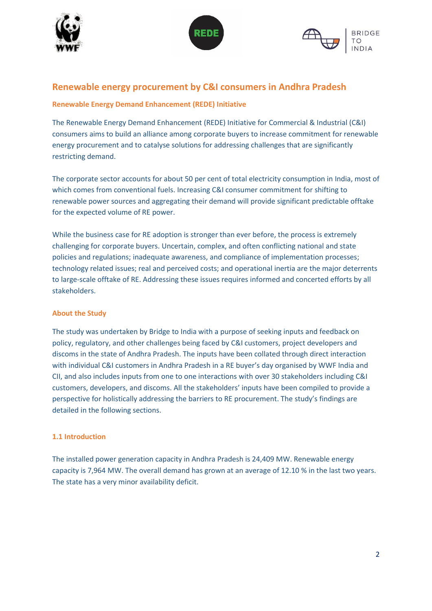





## **Renewable energy procurement by C&I consumers in Andhra Pradesh**

## **Renewable Energy Demand Enhancement (REDE) Initiative**

The Renewable Energy Demand Enhancement (REDE) Initiative for Commercial & Industrial (C&I) consumers aims to build an alliance among corporate buyers to increase commitment for renewable energy procurement and to catalyse solutions for addressing challenges that are significantly restricting demand.

The corporate sector accounts for about 50 per cent of total electricity consumption in India, most of which comes from conventional fuels. Increasing C&I consumer commitment for shifting to renewable power sources and aggregating their demand will provide significant predictable offtake for the expected volume of RE power.

While the business case for RE adoption is stronger than ever before, the process is extremely challenging for corporate buyers. Uncertain, complex, and often conflicting national and state policies and regulations; inadequate awareness, and compliance of implementation processes; technology related issues; real and perceived costs; and operational inertia are the major deterrents to large-scale offtake of RE. Addressing these issues requires informed and concerted efforts by all stakeholders.

## **About the Study**

The study was undertaken by Bridge to India with a purpose of seeking inputs and feedback on policy, regulatory, and other challenges being faced by C&I customers, project developers and discoms in the state of Andhra Pradesh. The inputs have been collated through direct interaction with individual C&I customers in Andhra Pradesh in a RE buyer's day organised by WWF India and CII, and also includes inputs from one to one interactions with over 30 stakeholders including C&I customers, developers, and discoms. All the stakeholders' inputs have been compiled to provide a perspective for holistically addressing the barriers to RE procurement. The study's findings are detailed in the following sections.

## **1.1 Introduction**

The installed power generation capacity in Andhra Pradesh is 24,409 MW. Renewable energy capacity is 7,964 MW. The overall demand has grown at an average of 12.10 % in the last two years. The state has a very minor availability deficit.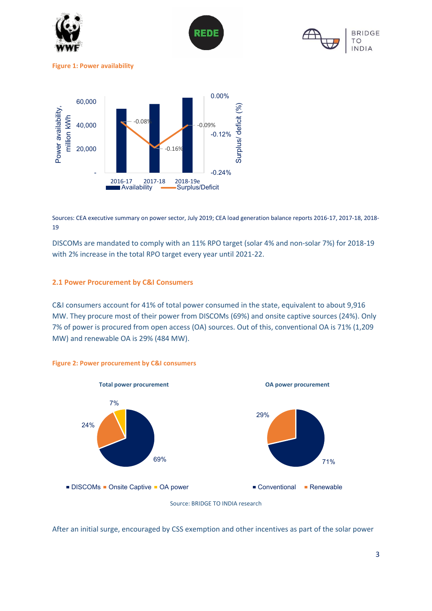

Sources: CEA executive summary on power sector, July 2019; CEA load generation balance reports 2016-17, 2017-18, 2018- 19

DISCOMs are mandated to comply with an 11% RPO target (solar 4% and non-solar 7%) for 2018-19 with 2% increase in the total RPO target every year until 2021-22.

#### **2.1 Power Procurement by C&I Consumers**

C&I consumers account for 41% of total power consumed in the state, equivalent to about 9,916 MW. They procure most of their power from DISCOMs (69%) and onsite captive sources (24%). Only 7% of power is procured from open access (OA) sources. Out of this, conventional OA is 71% (1,209 MW) and renewable OA is 29% (484 MW).





After an initial surge, encouraged by CSS exemption and other incentives as part of the solar power

**BRIDGE** 

**NDIA** 

Source: BRIDGE TO INDIA research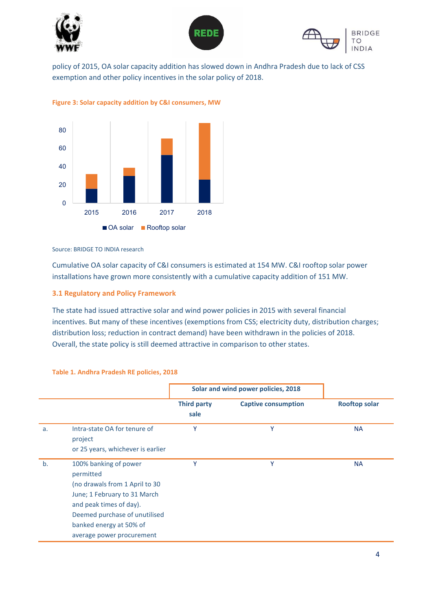





policy of 2015, OA solar capacity addition has slowed down in Andhra Pradesh due to lack of CSS exemption and other policy incentives in the solar policy of 2018.





#### Source: BRIDGE TO INDIA research

Cumulative OA solar capacity of C&I consumers is estimated at 154 MW. C&I rooftop solar power installations have grown more consistently with a cumulative capacity addition of 151 MW.

#### **3.1 Regulatory and Policy Framework**

The state had issued attractive solar and wind power policies in 2015 with several financial incentives. But many of these incentives (exemptions from CSS; electricity duty, distribution charges; distribution loss; reduction in contract demand) have been withdrawn in the policies of 2018. Overall, the state policy is still deemed attractive in comparison to other states.

|    |                                                                                                                                                                                                                          | Solar and wind power policies, 2018 |                            |                      |
|----|--------------------------------------------------------------------------------------------------------------------------------------------------------------------------------------------------------------------------|-------------------------------------|----------------------------|----------------------|
|    |                                                                                                                                                                                                                          | <b>Third party</b><br>sale          | <b>Captive consumption</b> | <b>Rooftop solar</b> |
| a. | Intra-state OA for tenure of<br>project<br>or 25 years, whichever is earlier                                                                                                                                             | Y                                   | Υ                          | <b>NA</b>            |
| b. | 100% banking of power<br>permitted<br>(no drawals from 1 April to 30<br>June; 1 February to 31 March<br>and peak times of day).<br>Deemed purchase of unutilised<br>banked energy at 50% of<br>average power procurement | Υ                                   | Y                          | <b>NA</b>            |

#### **Table 1. Andhra Pradesh RE policies, 2018**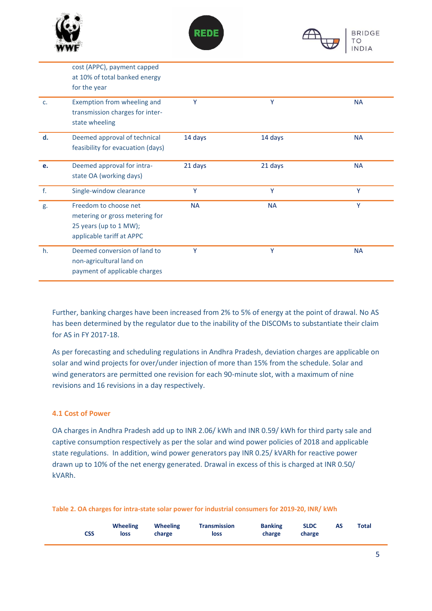



|    | cost (APPC), payment capped<br>at 10% of total banked energy<br>for the year                                   |           |           |           |
|----|----------------------------------------------------------------------------------------------------------------|-----------|-----------|-----------|
| c. | Exemption from wheeling and<br>transmission charges for inter-<br>state wheeling                               | Y         | Y         | <b>NA</b> |
| d. | Deemed approval of technical<br>feasibility for evacuation (days)                                              | 14 days   | 14 days   | <b>NA</b> |
| e. | Deemed approval for intra-<br>state OA (working days)                                                          | 21 days   | 21 days   | <b>NA</b> |
| f. | Single-window clearance                                                                                        | Y         | Y         | Y         |
| g. | Freedom to choose net<br>metering or gross metering for<br>25 years (up to 1 MW);<br>applicable tariff at APPC | <b>NA</b> | <b>NA</b> | Y         |
| h. | Deemed conversion of land to<br>non-agricultural land on<br>payment of applicable charges                      | Υ         | Υ         | <b>NA</b> |

Further, banking charges have been increased from 2% to 5% of energy at the point of drawal. No AS has been determined by the regulator due to the inability of the DISCOMs to substantiate their claim for AS in FY 2017-18.

As per forecasting and scheduling regulations in Andhra Pradesh, deviation charges are applicable on solar and wind projects for over/under injection of more than 15% from the schedule. Solar and wind generators are permitted one revision for each 90-minute slot, with a maximum of nine revisions and 16 revisions in a day respectively.

## **4.1 Cost of Power**

OA charges in Andhra Pradesh add up to INR 2.06/ kWh and INR 0.59/ kWh for third party sale and captive consumption respectively as per the solar and wind power policies of 2018 and applicable state regulations. In addition, wind power generators pay INR 0.25/ kVARh for reactive power drawn up to 10% of the net energy generated. Drawal in excess of this is charged at INR 0.50/ kVARh.

|  |  |  |  | Table 2. OA charges for intra-state solar power for industrial consumers for 2019-20, INR/ kWh |  |
|--|--|--|--|------------------------------------------------------------------------------------------------|--|
|--|--|--|--|------------------------------------------------------------------------------------------------|--|

| CSS | <b>Wheeling</b><br>loss | <b>Wheeling</b><br>charge | <b>Transmission</b><br>loss | <b>Banking</b><br>charge | <b>SLDC</b><br>charge | <b>AS</b> | Total |  |
|-----|-------------------------|---------------------------|-----------------------------|--------------------------|-----------------------|-----------|-------|--|
|     |                         |                           |                             |                          |                       |           |       |  |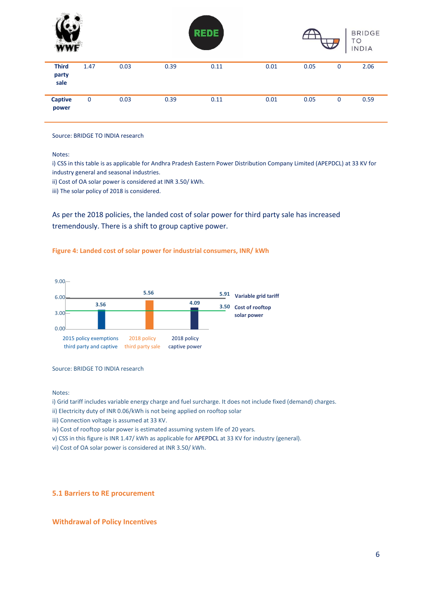| WWF                           |             |      |      | <b>REDE</b> |      |      | $\overline{\mathbf{\mathcal{L}}}$ | <b>BRIDGE</b><br>TO<br><b>INDIA</b> |
|-------------------------------|-------------|------|------|-------------|------|------|-----------------------------------|-------------------------------------|
| <b>Third</b><br>party<br>sale | 1.47        | 0.03 | 0.39 | 0.11        | 0.01 | 0.05 | $\mathbf 0$                       | 2.06                                |
| <b>Captive</b><br>power       | $\mathbf 0$ | 0.03 | 0.39 | 0.11        | 0.01 | 0.05 | $\mathbf 0$                       | 0.59                                |

Source: BRIDGE TO INDIA research

Notes:

i) CSS in this table is as applicable for Andhra Pradesh Eastern Power Distribution Company Limited (APEPDCL) at 33 KV for industry general and seasonal industries.

ii) Cost of OA solar power is considered at INR 3.50/ kWh.

iii) The solar policy of 2018 is considered.

As per the 2018 policies, the landed cost of solar power for third party sale has increased tremendously. There is a shift to group captive power.

#### **Figure 4: Landed cost of solar power for industrial consumers, INR/ kWh**



Source: BRIDGE TO INDIA research

Notes:

i) Grid tariff includes variable energy charge and fuel surcharge. It does not include fixed (demand) charges.

ii) Electricity duty of INR 0.06/kWh is not being applied on rooftop solar

iii) Connection voltage is assumed at 33 KV.

iv) Cost of rooftop solar power is estimated assuming system life of 20 years.

v) CSS in this figure is INR 1.47/ kWh as applicable for APEPDCL at 33 KV for industry (general).

vi) Cost of OA solar power is considered at INR 3.50/ kWh.

#### **5.1 Barriers to RE procurement**

#### **Withdrawal of Policy Incentives**